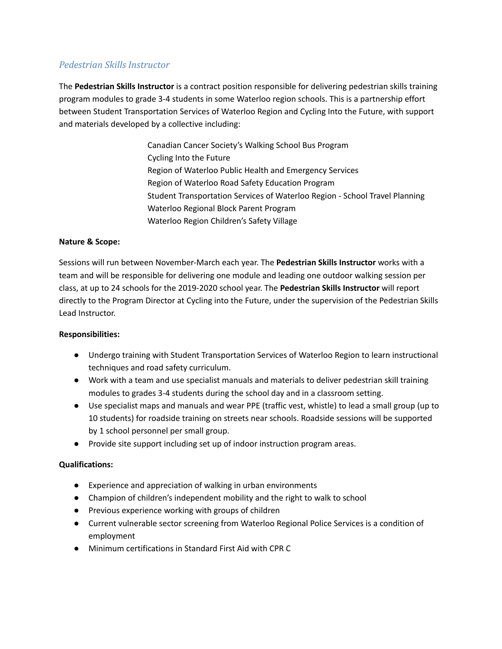# *Pedestrian Skills Instructor*

The **Pedestrian Skills Instructor** is a contract position responsible for delivering pedestrian skills training program modules to grade 3-4 students in some Waterloo region schools. This is a partnership effort between Student Transportation Services of Waterloo Region and Cycling Into the Future, with support and materials developed by a collective including:

> Canadian Cancer Society's Walking School Bus Program Cycling Into the Future Region of Waterloo Public Health and Emergency Services Region of Waterloo Road Safety Education Program Student Transportation Services of Waterloo Region - School Travel Planning Waterloo Regional Block Parent Program Waterloo Region Children's Safety Village

### **Nature & Scope:**

Sessions will run between November-March each year. The **Pedestrian Skills Instructor** works with a team and will be responsible for delivering one module and leading one outdoor walking session per class, at up to 24 schools for the 2019-2020 school year. The **Pedestrian Skills Instructor** will report directly to the Program Director at Cycling into the Future, under the supervision of the Pedestrian Skills Lead Instructor.

#### **Responsibilities:**

- Undergo training with Student Transportation Services of Waterloo Region to learn instructional techniques and road safety curriculum.
- Work with a team and use specialist manuals and materials to deliver pedestrian skill training modules to grades 3-4 students during the school day and in a classroom setting.
- Use specialist maps and manuals and wear PPE (traffic vest, whistle) to lead a small group (up to 10 students) for roadside training on streets near schools. Roadside sessions will be supported by 1 school personnel per small group.
- Provide site support including set up of indoor instruction program areas.

## **Qualifications:**

- Experience and appreciation of walking in urban environments
- Champion of children's independent mobility and the right to walk to school
- Previous experience working with groups of children
- Current vulnerable sector screening from Waterloo Regional Police Services is a condition of employment
- Minimum certifications in Standard First Aid with CPR C